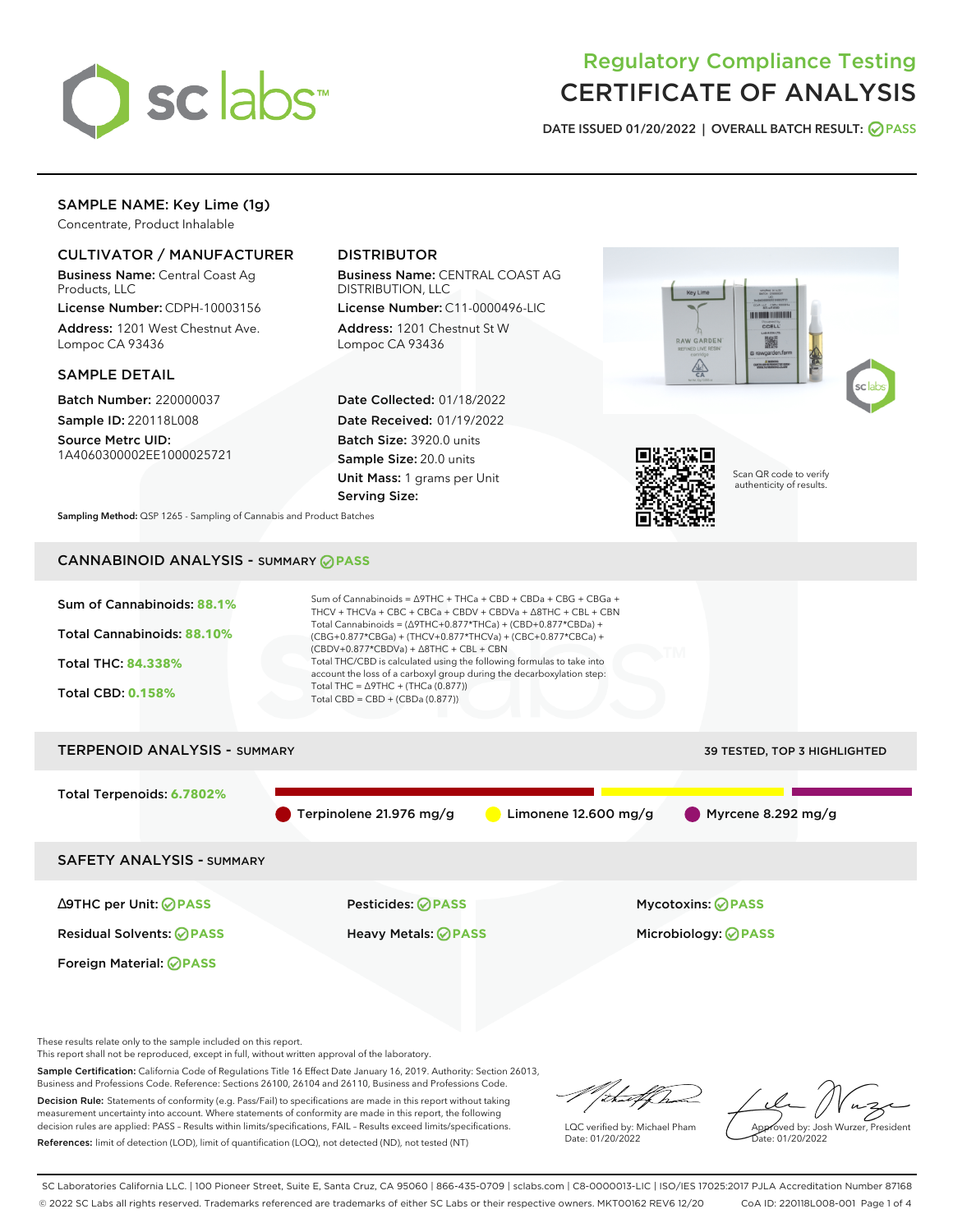

# Regulatory Compliance Testing CERTIFICATE OF ANALYSIS

**DATE ISSUED 01/20/2022 | OVERALL BATCH RESULT: PASS**

## SAMPLE NAME: Key Lime (1g)

Concentrate, Product Inhalable

## CULTIVATOR / MANUFACTURER

Business Name: Central Coast Ag Products, LLC

License Number: CDPH-10003156 Address: 1201 West Chestnut Ave. Lompoc CA 93436

#### SAMPLE DETAIL

Batch Number: 220000037 Sample ID: 220118L008

Source Metrc UID: 1A4060300002EE1000025721

## DISTRIBUTOR

Business Name: CENTRAL COAST AG DISTRIBUTION, LLC

License Number: C11-0000496-LIC Address: 1201 Chestnut St W Lompoc CA 93436

Date Collected: 01/18/2022 Date Received: 01/19/2022 Batch Size: 3920.0 units Sample Size: 20.0 units Unit Mass: 1 grams per Unit Serving Size:





Scan QR code to verify authenticity of results.

**Sampling Method:** QSP 1265 - Sampling of Cannabis and Product Batches

## CANNABINOID ANALYSIS - SUMMARY **PASS**



These results relate only to the sample included on this report.

This report shall not be reproduced, except in full, without written approval of the laboratory.

Sample Certification: California Code of Regulations Title 16 Effect Date January 16, 2019. Authority: Section 26013, Business and Professions Code. Reference: Sections 26100, 26104 and 26110, Business and Professions Code. Decision Rule: Statements of conformity (e.g. Pass/Fail) to specifications are made in this report without taking

measurement uncertainty into account. Where statements of conformity are made in this report, the following decision rules are applied: PASS – Results within limits/specifications, FAIL – Results exceed limits/specifications. References: limit of detection (LOD), limit of quantification (LOQ), not detected (ND), not tested (NT)

that f(ha

LQC verified by: Michael Pham Date: 01/20/2022

Approved by: Josh Wurzer, President ate: 01/20/2022

SC Laboratories California LLC. | 100 Pioneer Street, Suite E, Santa Cruz, CA 95060 | 866-435-0709 | sclabs.com | C8-0000013-LIC | ISO/IES 17025:2017 PJLA Accreditation Number 87168 © 2022 SC Labs all rights reserved. Trademarks referenced are trademarks of either SC Labs or their respective owners. MKT00162 REV6 12/20 CoA ID: 220118L008-001 Page 1 of 4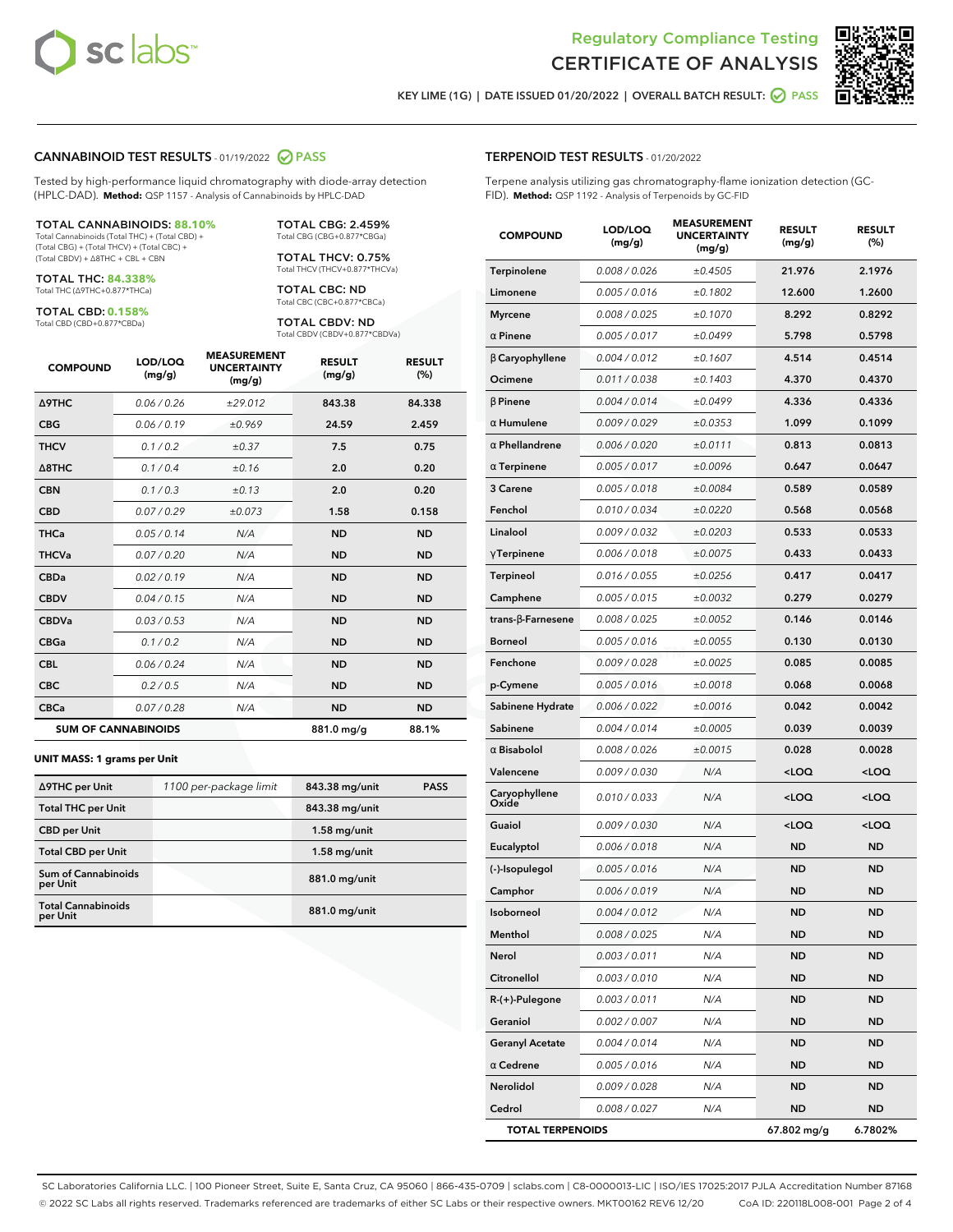

Terpene analysis utilizing gas chromatography-flame ionization detection (GC-



**KEY LIME (1G) | DATE ISSUED 01/20/2022 | OVERALL BATCH RESULT: PASS**

FID). **Method:** QSP 1192 - Analysis of Terpenoids by GC-FID

**TERPENOID TEST RESULTS** - 01/20/2022

#### **CANNABINOID TEST RESULTS** - 01/19/2022 **PASS**

Tested by high-performance liquid chromatography with diode-array detection (HPLC-DAD). **Method:** QSP 1157 - Analysis of Cannabinoids by HPLC-DAD

#### TOTAL CANNABINOIDS: **88.10%**

Total Cannabinoids (Total THC) + (Total CBD) + (Total CBG) + (Total THCV) + (Total CBC) + (Total CBDV) + ∆8THC + CBL + CBN

TOTAL THC: **84.338%** Total THC (∆9THC+0.877\*THCa)

TOTAL CBD: **0.158%**

Total CBD (CBD+0.877\*CBDa)

TOTAL CBG: 2.459% Total CBG (CBG+0.877\*CBGa)

TOTAL THCV: 0.75% Total THCV (THCV+0.877\*THCVa)

TOTAL CBC: ND Total CBC (CBC+0.877\*CBCa)

TOTAL CBDV: ND Total CBDV (CBDV+0.877\*CBDVa)

| <b>COMPOUND</b>  | LOD/LOQ<br>(mg/g)          | <b>MEASUREMENT</b><br><b>UNCERTAINTY</b><br>(mg/g) | <b>RESULT</b><br>(mg/g) | <b>RESULT</b><br>(%) |
|------------------|----------------------------|----------------------------------------------------|-------------------------|----------------------|
| <b>A9THC</b>     | 0.06 / 0.26                | ±29.012                                            | 843.38                  | 84.338               |
| <b>CBG</b>       | 0.06/0.19                  | ±0.969                                             | 24.59                   | 2.459                |
| <b>THCV</b>      | 0.1 / 0.2                  | $\pm 0.37$                                         | 7.5                     | 0.75                 |
| $\triangle$ 8THC | 0.1/0.4                    | ±0.16                                              | 2.0                     | 0.20                 |
| <b>CBN</b>       | 0.1 / 0.3                  | ±0.13                                              | 2.0                     | 0.20                 |
| <b>CBD</b>       | 0.07/0.29                  | ±0.073                                             | 1.58                    | 0.158                |
| <b>THCa</b>      | 0.05/0.14                  | N/A                                                | <b>ND</b>               | <b>ND</b>            |
| <b>THCVa</b>     | 0.07/0.20                  | N/A                                                | <b>ND</b>               | <b>ND</b>            |
| <b>CBDa</b>      | 0.02/0.19                  | N/A                                                | <b>ND</b>               | <b>ND</b>            |
| <b>CBDV</b>      | 0.04/0.15                  | N/A                                                | <b>ND</b>               | <b>ND</b>            |
| <b>CBDVa</b>     | 0.03/0.53                  | N/A                                                | <b>ND</b>               | <b>ND</b>            |
| <b>CBGa</b>      | 0.1/0.2                    | N/A                                                | <b>ND</b>               | <b>ND</b>            |
| <b>CBL</b>       | 0.06 / 0.24                | N/A                                                | <b>ND</b>               | <b>ND</b>            |
| <b>CBC</b>       | 0.2 / 0.5                  | N/A                                                | <b>ND</b>               | <b>ND</b>            |
| <b>CBCa</b>      | 0.07 / 0.28                | N/A                                                | <b>ND</b>               | <b>ND</b>            |
|                  | <b>SUM OF CANNABINOIDS</b> |                                                    | 881.0 mg/g              | 88.1%                |

#### **UNIT MASS: 1 grams per Unit**

| ∆9THC per Unit                         | 1100 per-package limit | 843.38 mg/unit | <b>PASS</b> |
|----------------------------------------|------------------------|----------------|-------------|
| <b>Total THC per Unit</b>              |                        | 843.38 mg/unit |             |
| <b>CBD per Unit</b>                    |                        | $1.58$ mg/unit |             |
| <b>Total CBD per Unit</b>              |                        | $1.58$ mg/unit |             |
| <b>Sum of Cannabinoids</b><br>per Unit |                        | 881.0 mg/unit  |             |
| <b>Total Cannabinoids</b><br>per Unit  |                        | 881.0 mg/unit  |             |

| <b>COMPOUND</b>           | LOD/LOQ<br>(mg/g) | <b>MEASUREMENT</b><br><b>UNCERTAINTY</b><br>(mg/g) | <b>RESULT</b><br>(mg/g)                         | <b>RESULT</b><br>$(\%)$ |
|---------------------------|-------------------|----------------------------------------------------|-------------------------------------------------|-------------------------|
| Terpinolene               | 0.008 / 0.026     | ±0.4505                                            | 21.976                                          | 2.1976                  |
| Limonene                  | 0.005 / 0.016     | ±0.1802                                            | 12.600                                          | 1.2600                  |
| <b>Myrcene</b>            | 0.008 / 0.025     | ±0.1070                                            | 8.292                                           | 0.8292                  |
| $\alpha$ Pinene           | 0.005 / 0.017     | ±0.0499                                            | 5.798                                           | 0.5798                  |
| $\beta$ Caryophyllene     | 0.004 / 0.012     | ±0.1607                                            | 4.514                                           | 0.4514                  |
| Ocimene                   | 0.011 / 0.038     | ±0.1403                                            | 4.370                                           | 0.4370                  |
| $\beta$ Pinene            | 0.004 / 0.014     | ±0.0499                                            | 4.336                                           | 0.4336                  |
| $\alpha$ Humulene         | 0.009 / 0.029     | ±0.0353                                            | 1.099                                           | 0.1099                  |
| $\alpha$ Phellandrene     | 0.006 / 0.020     | ±0.0111                                            | 0.813                                           | 0.0813                  |
| $\alpha$ Terpinene        | 0.005 / 0.017     | ±0.0096                                            | 0.647                                           | 0.0647                  |
| 3 Carene                  | 0.005 / 0.018     | ±0.0084                                            | 0.589                                           | 0.0589                  |
| Fenchol                   | 0.010 / 0.034     | ±0.0220                                            | 0.568                                           | 0.0568                  |
| Linalool                  | 0.009 / 0.032     | ±0.0203                                            | 0.533                                           | 0.0533                  |
| $\gamma$ Terpinene        | 0.006 / 0.018     | ±0.0075                                            | 0.433                                           | 0.0433                  |
| Terpineol                 | 0.016 / 0.055     | ±0.0256                                            | 0.417                                           | 0.0417                  |
| Camphene                  | 0.005 / 0.015     | ±0.0032                                            | 0.279                                           | 0.0279                  |
| trans- $\beta$ -Farnesene | 0.008 / 0.025     | ±0.0052                                            | 0.146                                           | 0.0146                  |
| <b>Borneol</b>            | 0.005 / 0.016     | ±0.0055                                            | 0.130                                           | 0.0130                  |
| Fenchone                  | 0.009 / 0.028     | ±0.0025                                            | 0.085                                           | 0.0085                  |
| p-Cymene                  | 0.005 / 0.016     | ±0.0018                                            | 0.068                                           | 0.0068                  |
| Sabinene Hydrate          | 0.006 / 0.022     | ±0.0016                                            | 0.042                                           | 0.0042                  |
| Sabinene                  | 0.004 / 0.014     | ±0.0005                                            | 0.039                                           | 0.0039                  |
| $\alpha$ Bisabolol        | 0.008 / 0.026     | ±0.0015                                            | 0.028                                           | 0.0028                  |
| Valencene                 | 0.009 / 0.030     | N/A                                                | <loq< th=""><th><loq< th=""></loq<></th></loq<> | <loq< th=""></loq<>     |
| Caryophyllene<br>Oxide    | 0.010 / 0.033     | N/A                                                | <loq< th=""><th><loq< th=""></loq<></th></loq<> | <loq< th=""></loq<>     |
| Guaiol                    | 0.009 / 0.030     | N/A                                                | <loq< th=""><th><loq< th=""></loq<></th></loq<> | <loq< th=""></loq<>     |
| Eucalyptol                | 0.006 / 0.018     | N/A                                                | <b>ND</b>                                       | <b>ND</b>               |
| (-)-Isopulegol            | 0.005 / 0.016     | N/A                                                | <b>ND</b>                                       | <b>ND</b>               |
| Camphor                   | 0.006 / 0.019     | N/A                                                | ND                                              | <b>ND</b>               |
| Isoborneol                | 0.004 / 0.012     | N/A                                                | ND                                              | ND                      |
| Menthol                   | 0.008 / 0.025     | N/A                                                | ND                                              | ND                      |
| Nerol                     | 0.003 / 0.011     | N/A                                                | ND                                              | <b>ND</b>               |
| Citronellol               | 0.003 / 0.010     | N/A                                                | ND                                              | <b>ND</b>               |
| R-(+)-Pulegone            | 0.003 / 0.011     | N/A                                                | ND                                              | <b>ND</b>               |
| Geraniol                  | 0.002 / 0.007     | N/A                                                | ND                                              | ND                      |
| <b>Geranyl Acetate</b>    | 0.004 / 0.014     | N/A                                                | ND                                              | ND                      |
| $\alpha$ Cedrene          | 0.005 / 0.016     | N/A                                                | ND                                              | <b>ND</b>               |
| Nerolidol                 | 0.009 / 0.028     | N/A                                                | ND                                              | ND                      |
| Cedrol                    | 0.008 / 0.027     | N/A                                                | ND                                              | <b>ND</b>               |
| <b>TOTAL TERPENOIDS</b>   |                   |                                                    | 67.802 mg/g                                     | 6.7802%                 |

SC Laboratories California LLC. | 100 Pioneer Street, Suite E, Santa Cruz, CA 95060 | 866-435-0709 | sclabs.com | C8-0000013-LIC | ISO/IES 17025:2017 PJLA Accreditation Number 87168 © 2022 SC Labs all rights reserved. Trademarks referenced are trademarks of either SC Labs or their respective owners. MKT00162 REV6 12/20 CoA ID: 220118L008-001 Page 2 of 4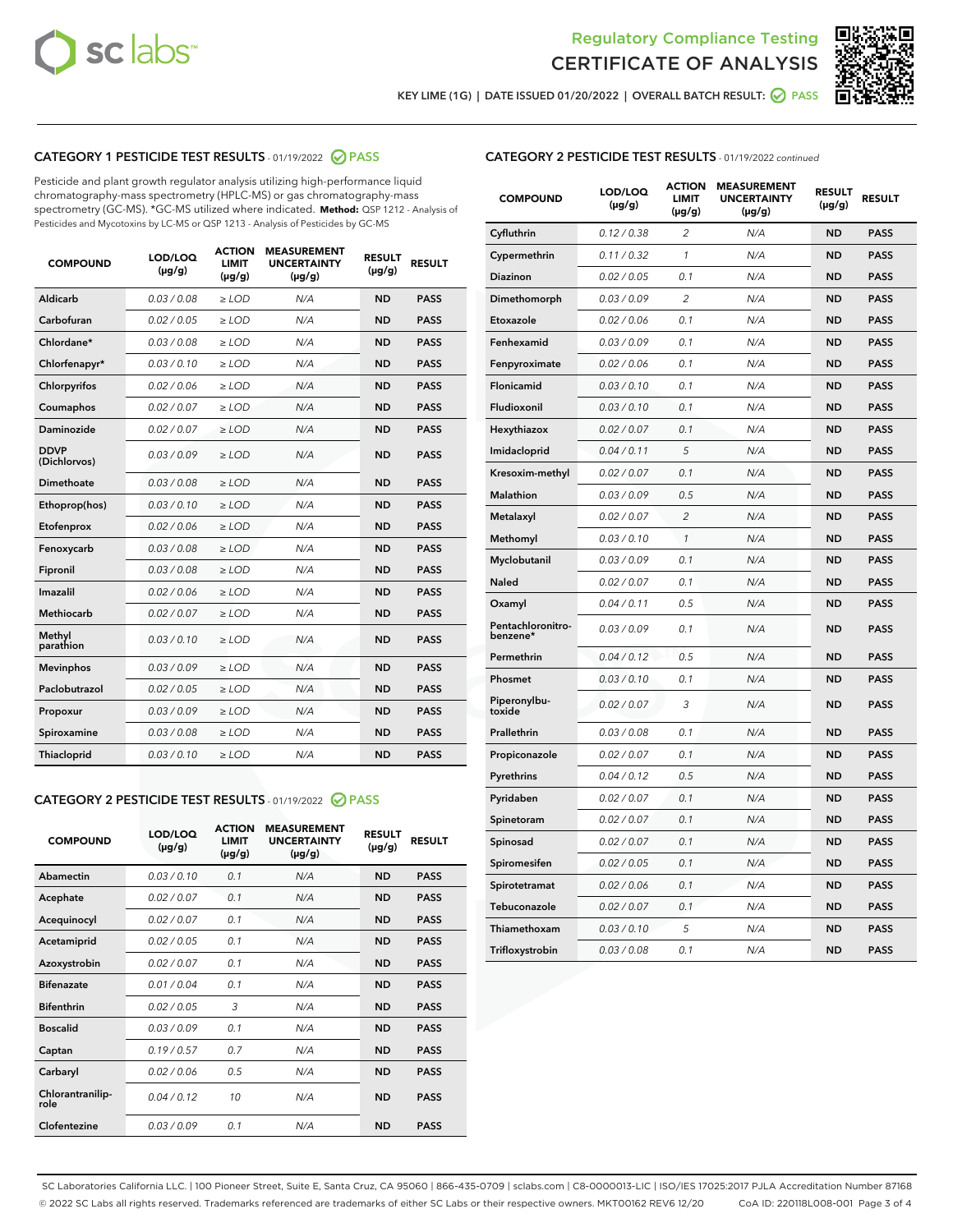



**KEY LIME (1G) | DATE ISSUED 01/20/2022 | OVERALL BATCH RESULT: PASS**

## **CATEGORY 1 PESTICIDE TEST RESULTS** - 01/19/2022 **PASS**

Pesticide and plant growth regulator analysis utilizing high-performance liquid chromatography-mass spectrometry (HPLC-MS) or gas chromatography-mass spectrometry (GC-MS). \*GC-MS utilized where indicated. **Method:** QSP 1212 - Analysis of Pesticides and Mycotoxins by LC-MS or QSP 1213 - Analysis of Pesticides by GC-MS

| <b>COMPOUND</b>             | LOD/LOQ<br>$(\mu g/g)$ | <b>ACTION</b><br><b>LIMIT</b><br>$(\mu g/g)$ | <b>MEASUREMENT</b><br><b>UNCERTAINTY</b><br>$(\mu g/g)$ | <b>RESULT</b><br>$(\mu g/g)$ | <b>RESULT</b> |
|-----------------------------|------------------------|----------------------------------------------|---------------------------------------------------------|------------------------------|---------------|
| Aldicarb                    | 0.03 / 0.08            | $\ge$ LOD                                    | N/A                                                     | <b>ND</b>                    | <b>PASS</b>   |
| Carbofuran                  | 0.02 / 0.05            | $\ge$ LOD                                    | N/A                                                     | <b>ND</b>                    | <b>PASS</b>   |
| Chlordane*                  | 0.03 / 0.08            | $\ge$ LOD                                    | N/A                                                     | <b>ND</b>                    | <b>PASS</b>   |
| Chlorfenapyr*               | 0.03/0.10              | $\ge$ LOD                                    | N/A                                                     | <b>ND</b>                    | <b>PASS</b>   |
| Chlorpyrifos                | 0.02 / 0.06            | $\ge$ LOD                                    | N/A                                                     | <b>ND</b>                    | <b>PASS</b>   |
| Coumaphos                   | 0.02 / 0.07            | $\ge$ LOD                                    | N/A                                                     | <b>ND</b>                    | <b>PASS</b>   |
| Daminozide                  | 0.02/0.07              | $\ge$ LOD                                    | N/A                                                     | <b>ND</b>                    | <b>PASS</b>   |
| <b>DDVP</b><br>(Dichlorvos) | 0.03/0.09              | $>$ LOD                                      | N/A                                                     | <b>ND</b>                    | <b>PASS</b>   |
| Dimethoate                  | 0.03 / 0.08            | $\ge$ LOD                                    | N/A                                                     | <b>ND</b>                    | <b>PASS</b>   |
| Ethoprop(hos)               | 0.03/0.10              | $>$ LOD                                      | N/A                                                     | <b>ND</b>                    | <b>PASS</b>   |
| Etofenprox                  | 0.02 / 0.06            | $\ge$ LOD                                    | N/A                                                     | <b>ND</b>                    | <b>PASS</b>   |
| Fenoxycarb                  | 0.03 / 0.08            | $\ge$ LOD                                    | N/A                                                     | <b>ND</b>                    | <b>PASS</b>   |
| Fipronil                    | 0.03/0.08              | $>$ LOD                                      | N/A                                                     | <b>ND</b>                    | <b>PASS</b>   |
| Imazalil                    | 0.02 / 0.06            | $\ge$ LOD                                    | N/A                                                     | <b>ND</b>                    | <b>PASS</b>   |
| <b>Methiocarb</b>           | 0.02 / 0.07            | $\ge$ LOD                                    | N/A                                                     | <b>ND</b>                    | <b>PASS</b>   |
| Methyl<br>parathion         | 0.03/0.10              | $\ge$ LOD                                    | N/A                                                     | <b>ND</b>                    | <b>PASS</b>   |
| <b>Mevinphos</b>            | 0.03/0.09              | $\ge$ LOD                                    | N/A                                                     | <b>ND</b>                    | <b>PASS</b>   |
| Paclobutrazol               | 0.02 / 0.05            | $\ge$ LOD                                    | N/A                                                     | <b>ND</b>                    | <b>PASS</b>   |
| Propoxur                    | 0.03/0.09              | $\ge$ LOD                                    | N/A                                                     | <b>ND</b>                    | <b>PASS</b>   |
| Spiroxamine                 | 0.03 / 0.08            | $\ge$ LOD                                    | N/A                                                     | <b>ND</b>                    | <b>PASS</b>   |
| Thiacloprid                 | 0.03/0.10              | $\ge$ LOD                                    | N/A                                                     | <b>ND</b>                    | <b>PASS</b>   |

#### **CATEGORY 2 PESTICIDE TEST RESULTS** - 01/19/2022 **PASS**

| <b>COMPOUND</b>          | LOD/LOO<br>$(\mu g/g)$ | <b>ACTION</b><br>LIMIT<br>$(\mu g/g)$ | <b>MEASUREMENT</b><br><b>UNCERTAINTY</b><br>$(\mu g/g)$ | <b>RESULT</b><br>$(\mu g/g)$ | <b>RESULT</b> |  |
|--------------------------|------------------------|---------------------------------------|---------------------------------------------------------|------------------------------|---------------|--|
| Abamectin                | 0.03/0.10              | 0.1                                   | N/A                                                     | <b>ND</b>                    | <b>PASS</b>   |  |
| Acephate                 | 0.02/0.07              | 0.1                                   | N/A                                                     | <b>ND</b>                    | <b>PASS</b>   |  |
| Acequinocyl              | 0.02/0.07              | 0.1                                   | N/A                                                     | <b>ND</b>                    | <b>PASS</b>   |  |
| Acetamiprid              | 0.02 / 0.05            | 0.1                                   | N/A                                                     | <b>ND</b>                    | <b>PASS</b>   |  |
| Azoxystrobin             | 0.02/0.07              | 0.1                                   | N/A                                                     | <b>ND</b>                    | <b>PASS</b>   |  |
| <b>Bifenazate</b>        | 0.01 / 0.04            | 0.1                                   | N/A                                                     | <b>ND</b>                    | <b>PASS</b>   |  |
| <b>Bifenthrin</b>        | 0.02 / 0.05            | 3                                     | N/A                                                     | <b>ND</b>                    | <b>PASS</b>   |  |
| <b>Boscalid</b>          | 0.03/0.09              | 0.1                                   | N/A                                                     | <b>ND</b>                    | <b>PASS</b>   |  |
| Captan                   | 0.19/0.57              | 0.7                                   | N/A                                                     | <b>ND</b>                    | <b>PASS</b>   |  |
| Carbaryl                 | 0.02/0.06              | 0.5                                   | N/A                                                     | <b>ND</b>                    | <b>PASS</b>   |  |
| Chlorantranilip-<br>role | 0.04/0.12              | 10                                    | N/A                                                     | <b>ND</b>                    | <b>PASS</b>   |  |
| Clofentezine             | 0.03/0.09              | 0.1                                   | N/A                                                     | <b>ND</b>                    | <b>PASS</b>   |  |

## **CATEGORY 2 PESTICIDE TEST RESULTS** - 01/19/2022 continued

| <b>COMPOUND</b>               | LOD/LOQ<br>(µg/g) | <b>ACTION</b><br><b>LIMIT</b><br>$(\mu g/g)$ | <b>MEASUREMENT</b><br><b>UNCERTAINTY</b><br>$(\mu g/g)$ | <b>RESULT</b><br>(µg/g) | <b>RESULT</b> |
|-------------------------------|-------------------|----------------------------------------------|---------------------------------------------------------|-------------------------|---------------|
| Cyfluthrin                    | 0.12 / 0.38       | $\overline{c}$                               | N/A                                                     | ND                      | <b>PASS</b>   |
| Cypermethrin                  | 0.11 / 0.32       | $\mathcal{I}$                                | N/A                                                     | ND                      | <b>PASS</b>   |
| <b>Diazinon</b>               | 0.02 / 0.05       | 0.1                                          | N/A                                                     | <b>ND</b>               | <b>PASS</b>   |
| Dimethomorph                  | 0.03 / 0.09       | 2                                            | N/A                                                     | ND                      | <b>PASS</b>   |
| Etoxazole                     | 0.02 / 0.06       | 0.1                                          | N/A                                                     | ND                      | <b>PASS</b>   |
| Fenhexamid                    | 0.03 / 0.09       | 0.1                                          | N/A                                                     | ND                      | <b>PASS</b>   |
| Fenpyroximate                 | 0.02 / 0.06       | 0.1                                          | N/A                                                     | <b>ND</b>               | <b>PASS</b>   |
| Flonicamid                    | 0.03 / 0.10       | 0.1                                          | N/A                                                     | ND                      | <b>PASS</b>   |
| Fludioxonil                   | 0.03 / 0.10       | 0.1                                          | N/A                                                     | ND                      | <b>PASS</b>   |
| Hexythiazox                   | 0.02 / 0.07       | 0.1                                          | N/A                                                     | ND                      | <b>PASS</b>   |
| Imidacloprid                  | 0.04 / 0.11       | 5                                            | N/A                                                     | ND                      | <b>PASS</b>   |
| Kresoxim-methyl               | 0.02 / 0.07       | 0.1                                          | N/A                                                     | ND                      | <b>PASS</b>   |
| Malathion                     | 0.03 / 0.09       | 0.5                                          | N/A                                                     | ND                      | <b>PASS</b>   |
| Metalaxyl                     | 0.02 / 0.07       | $\overline{c}$                               | N/A                                                     | ND                      | <b>PASS</b>   |
| Methomyl                      | 0.03 / 0.10       | $\mathbf{1}$                                 | N/A                                                     | ND                      | <b>PASS</b>   |
| Myclobutanil                  | 0.03 / 0.09       | 0.1                                          | N/A                                                     | <b>ND</b>               | <b>PASS</b>   |
| Naled                         | 0.02 / 0.07       | 0.1                                          | N/A                                                     | ND                      | <b>PASS</b>   |
| Oxamyl                        | 0.04 / 0.11       | 0.5                                          | N/A                                                     | ND                      | PASS          |
| Pentachloronitro-<br>benzene* | 0.03 / 0.09       | 0.1                                          | N/A                                                     | ND                      | <b>PASS</b>   |
| Permethrin                    | 0.04 / 0.12       | 0.5                                          | N/A                                                     | ND                      | <b>PASS</b>   |
| Phosmet                       | 0.03 / 0.10       | 0.1                                          | N/A                                                     | ND                      | <b>PASS</b>   |
| Piperonylbu-<br>toxide        | 0.02 / 0.07       | 3                                            | N/A                                                     | <b>ND</b>               | <b>PASS</b>   |
| Prallethrin                   | 0.03 / 0.08       | 0.1                                          | N/A                                                     | ND                      | <b>PASS</b>   |
| Propiconazole                 | 0.02 / 0.07       | 0.1                                          | N/A                                                     | <b>ND</b>               | <b>PASS</b>   |
| Pyrethrins                    | 0.04 / 0.12       | 0.5                                          | N/A                                                     | ND                      | <b>PASS</b>   |
| Pyridaben                     | 0.02 / 0.07       | 0.1                                          | N/A                                                     | <b>ND</b>               | <b>PASS</b>   |
| Spinetoram                    | 0.02 / 0.07       | 0.1                                          | N/A                                                     | ND                      | <b>PASS</b>   |
| Spinosad                      | 0.02 / 0.07       | 0.1                                          | N/A                                                     | ND                      | <b>PASS</b>   |
| Spiromesifen                  | 0.02 / 0.05       | 0.1                                          | N/A                                                     | <b>ND</b>               | <b>PASS</b>   |
| Spirotetramat                 | 0.02 / 0.06       | 0.1                                          | N/A                                                     | ND                      | <b>PASS</b>   |
| Tebuconazole                  | 0.02 / 0.07       | 0.1                                          | N/A                                                     | ND                      | <b>PASS</b>   |
| Thiamethoxam                  | 0.03 / 0.10       | 5                                            | N/A                                                     | <b>ND</b>               | <b>PASS</b>   |
| Trifloxystrobin               | 0.03 / 0.08       | 0.1                                          | N/A                                                     | <b>ND</b>               | <b>PASS</b>   |

SC Laboratories California LLC. | 100 Pioneer Street, Suite E, Santa Cruz, CA 95060 | 866-435-0709 | sclabs.com | C8-0000013-LIC | ISO/IES 17025:2017 PJLA Accreditation Number 87168 © 2022 SC Labs all rights reserved. Trademarks referenced are trademarks of either SC Labs or their respective owners. MKT00162 REV6 12/20 CoA ID: 220118L008-001 Page 3 of 4